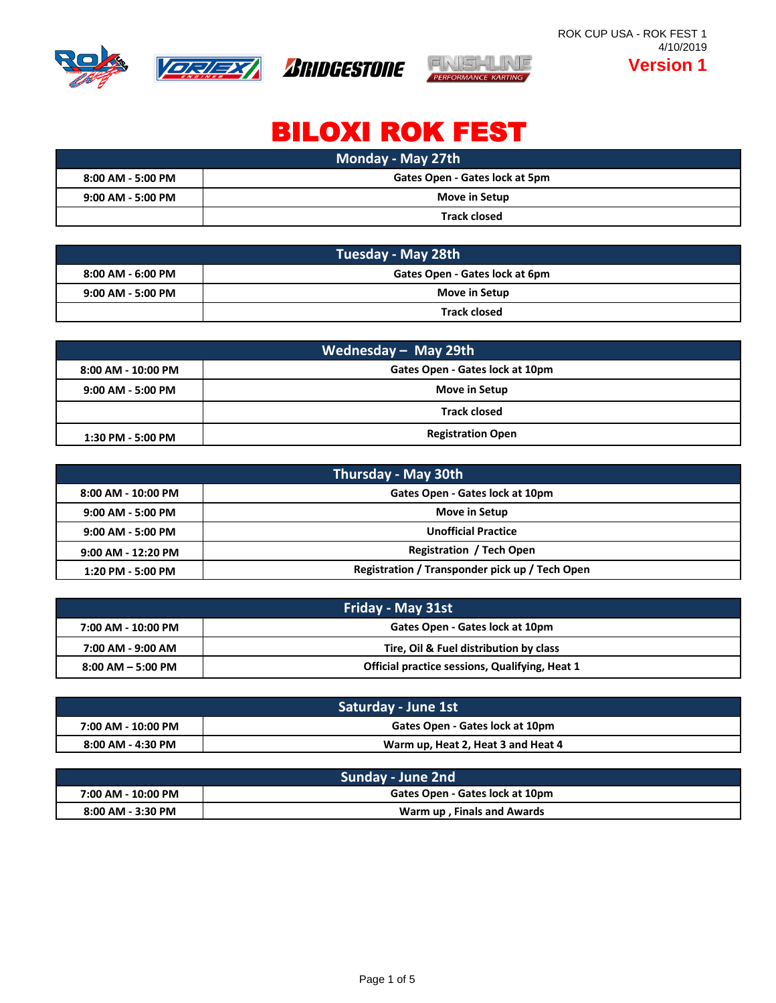







**Version 1**

## BILOXI ROK FEST

| Monday - May 27th   |                                |  |
|---------------------|--------------------------------|--|
| 8:00 AM - 5:00 PM   | Gates Open - Gates lock at 5pm |  |
| $9:00$ AM - 5:00 PM | Move in Setup                  |  |
|                     | <b>Track closed</b>            |  |

| Tuesday - May 28th |                                |  |
|--------------------|--------------------------------|--|
| 8:00 AM - 6:00 PM  | Gates Open - Gates lock at 6pm |  |
| 9:00 AM - 5:00 PM  | Move in Setup                  |  |
|                    | <b>Track closed</b>            |  |

| Wednesday $-$ May 29th |                                 |  |
|------------------------|---------------------------------|--|
| $8:00$ AM - 10:00 PM   | Gates Open - Gates lock at 10pm |  |
| $9:00$ AM - 5:00 PM    | Move in Setup                   |  |
|                        | <b>Track closed</b>             |  |
| 1:30 PM - 5:00 PM      | <b>Registration Open</b>        |  |

| Thursday - May 30th  |                                                |  |
|----------------------|------------------------------------------------|--|
| $8:00$ AM - 10:00 PM | Gates Open - Gates lock at 10pm                |  |
| $9:00$ AM - 5:00 PM  | Move in Setup                                  |  |
| $9:00$ AM - 5:00 PM  | <b>Unofficial Practice</b>                     |  |
| $9:00$ AM - 12:20 PM | <b>Registration / Tech Open</b>                |  |
| 1:20 PM - 5:00 PM    | Registration / Transponder pick up / Tech Open |  |

| Friday - May 31st                                     |                                                       |  |  |
|-------------------------------------------------------|-------------------------------------------------------|--|--|
| Gates Open - Gates lock at 10pm<br>7:00 AM - 10:00 PM |                                                       |  |  |
| 7:00 AM - 9:00 AM                                     | Tire, Oil & Fuel distribution by class                |  |  |
| $8:00$ AM $-$ 5:00 PM                                 | <b>Official practice sessions, Qualifying, Heat 1</b> |  |  |

| Saturday - June 1st |                                    |  |
|---------------------|------------------------------------|--|
| 7:00 AM - 10:00 PM  | Gates Open - Gates lock at 10pm    |  |
| 8:00 AM - 4:30 PM   | Warm up, Heat 2, Heat 3 and Heat 4 |  |

| Sunday - June 2nd  |                                 |  |
|--------------------|---------------------------------|--|
| 7:00 AM - 10:00 PM | Gates Open - Gates lock at 10pm |  |
| 8:00 AM - 3:30 PM  | Warm up, Finals and Awards      |  |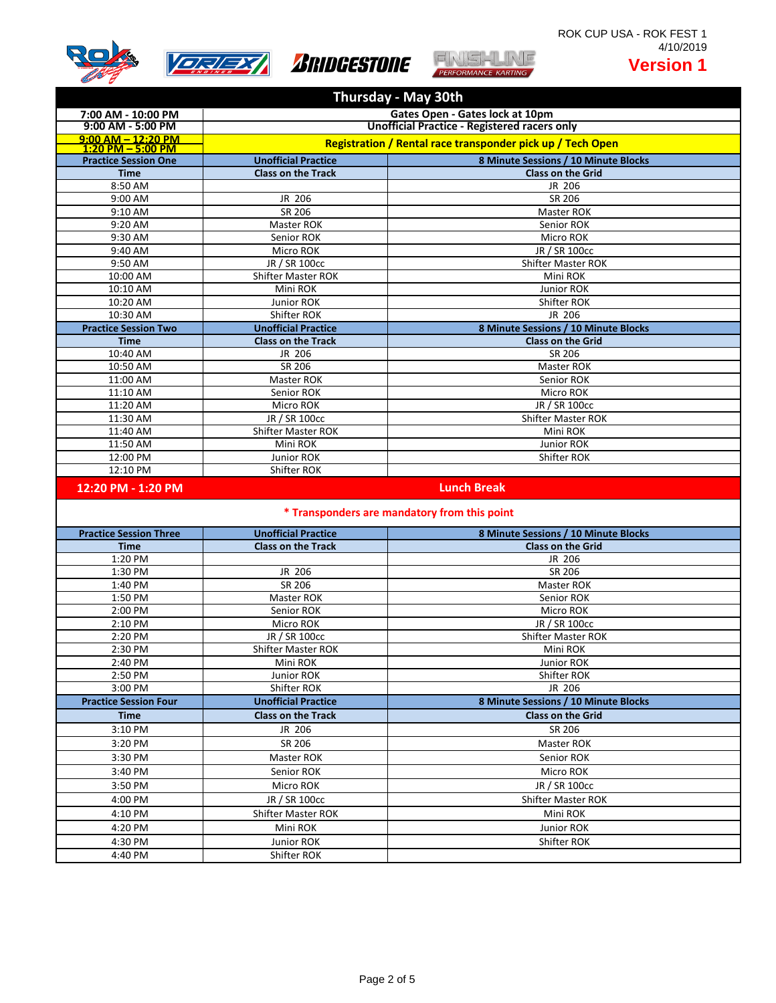



## **ZERRENT BRIDGESTONE**



## **Version 1**

| <b>Thursday - May 30th</b>                      |                                                            |                                              |
|-------------------------------------------------|------------------------------------------------------------|----------------------------------------------|
| 7:00 AM - 10:00 PM                              |                                                            | Gates Open - Gates lock at 10pm              |
| 9:00 AM - 5:00 PM                               | <b>Unofficial Practice - Registered racers only</b>        |                                              |
| $9:00$ AM $- 12:20$ PM<br>$1:20$ PM $-$ 5:00 PM | Registration / Rental race transponder pick up / Tech Open |                                              |
| <b>Practice Session One</b>                     | <b>Unofficial Practice</b>                                 | 8 Minute Sessions / 10 Minute Blocks         |
| <b>Time</b>                                     | <b>Class on the Track</b>                                  | <b>Class on the Grid</b>                     |
| $8:50$ AM                                       |                                                            | JR 206                                       |
| 9:00 AM                                         | JR 206                                                     | SR 206                                       |
| 9:10 AM                                         | SR 206                                                     | Master ROK                                   |
| 9:20 AM                                         | Master ROK                                                 | Senior ROK                                   |
| 9:30 AM                                         | Senior ROK                                                 | Micro ROK                                    |
| 9:40 AM                                         | Micro ROK                                                  | JR / SR 100cc                                |
| 9:50 AM                                         | JR / SR 100cc                                              | <b>Shifter Master ROK</b>                    |
| 10:00 AM                                        | <b>Shifter Master ROK</b>                                  | Mini ROK                                     |
| 10:10 AM                                        | Mini ROK                                                   | Junior ROK                                   |
| 10:20 AM<br>10:30 AM                            | Junior ROK<br>Shifter ROK                                  | Shifter ROK<br>JR 206                        |
| <b>Practice Session Two</b>                     | <b>Unofficial Practice</b>                                 | 8 Minute Sessions / 10 Minute Blocks         |
| <b>Time</b>                                     | <b>Class on the Track</b>                                  | <b>Class on the Grid</b>                     |
| 10:40 AM                                        | JR 206                                                     | SR 206                                       |
| 10:50 AM                                        | SR 206                                                     | Master ROK                                   |
| 11:00 AM                                        | Master ROK                                                 | Senior ROK                                   |
| 11:10 AM                                        | Senior ROK                                                 | Micro ROK                                    |
| 11:20 AM                                        | Micro ROK                                                  | JR / SR 100cc                                |
| 11:30 AM                                        | JR / SR 100cc                                              | <b>Shifter Master ROK</b>                    |
| 11:40 AM                                        | Shifter Master ROK                                         | Mini ROK                                     |
| 11:50 AM                                        | Mini ROK                                                   | Junior ROK                                   |
| 12:00 PM                                        | Junior ROK                                                 | Shifter ROK                                  |
| 12:10 PM                                        | Shifter ROK                                                |                                              |
| 12:20 PM - 1:20 PM                              |                                                            | <b>Lunch Break</b>                           |
|                                                 |                                                            | * Transponders are mandatory from this point |
|                                                 |                                                            |                                              |
| <b>Practice Session Three</b>                   | <b>Unofficial Practice</b>                                 | 8 Minute Sessions / 10 Minute Blocks         |
| <b>Time</b>                                     | <b>Class on the Track</b>                                  | <b>Class on the Grid</b>                     |
| 1:20 PM                                         |                                                            | JR 206                                       |
| 1:30 PM                                         | JR 206                                                     | SR 206                                       |
| 1:40 PM                                         | SR 206                                                     | Master ROK                                   |
| 1:50 PM                                         | Master ROK                                                 | Senior ROK                                   |
| 2:00 PM<br>2:10 PM                              | Senior ROK<br>Micro ROK                                    | Micro ROK<br>JR / SR 100cc                   |
| 2:20 PM                                         | JR / SR 100cc                                              | <b>Shifter Master ROK</b>                    |
| 2:30 PM                                         | <b>Shifter Master ROK</b>                                  | Mini ROK                                     |
| 2:40 PM                                         | Mini ROK                                                   | Junior ROK                                   |
| 2:50 PM                                         | Junior ROK                                                 | Shifter ROK                                  |
| 3:00 PM                                         | Shifter ROK                                                | JR 206                                       |
| <b>Practice Session Four</b>                    | <b>Unofficial Practice</b>                                 | 8 Minute Sessions / 10 Minute Blocks         |
| <b>Time</b>                                     | <b>Class on the Track</b>                                  | <b>Class on the Grid</b>                     |
| 3:10 PM                                         | JR 206                                                     | SR 206                                       |
| 3:20 PM                                         | SR 206                                                     | Master ROK                                   |
| 3:30 PM                                         | Master ROK                                                 | Senior ROK                                   |
| 3:40 PM                                         | Senior ROK                                                 | Micro ROK                                    |
| 3:50 PM                                         | Micro ROK                                                  | JR / SR 100cc                                |
| 4:00 PM                                         | JR / SR 100cc                                              | <b>Shifter Master ROK</b>                    |
| 4:10 PM                                         | Shifter Master ROK                                         | Mini ROK                                     |
| 4:20 PM                                         | Mini ROK                                                   | Junior ROK                                   |
| 4:30 PM                                         | Junior ROK                                                 | Shifter ROK                                  |
| 4:40 PM                                         | Shifter ROK                                                |                                              |
|                                                 |                                                            |                                              |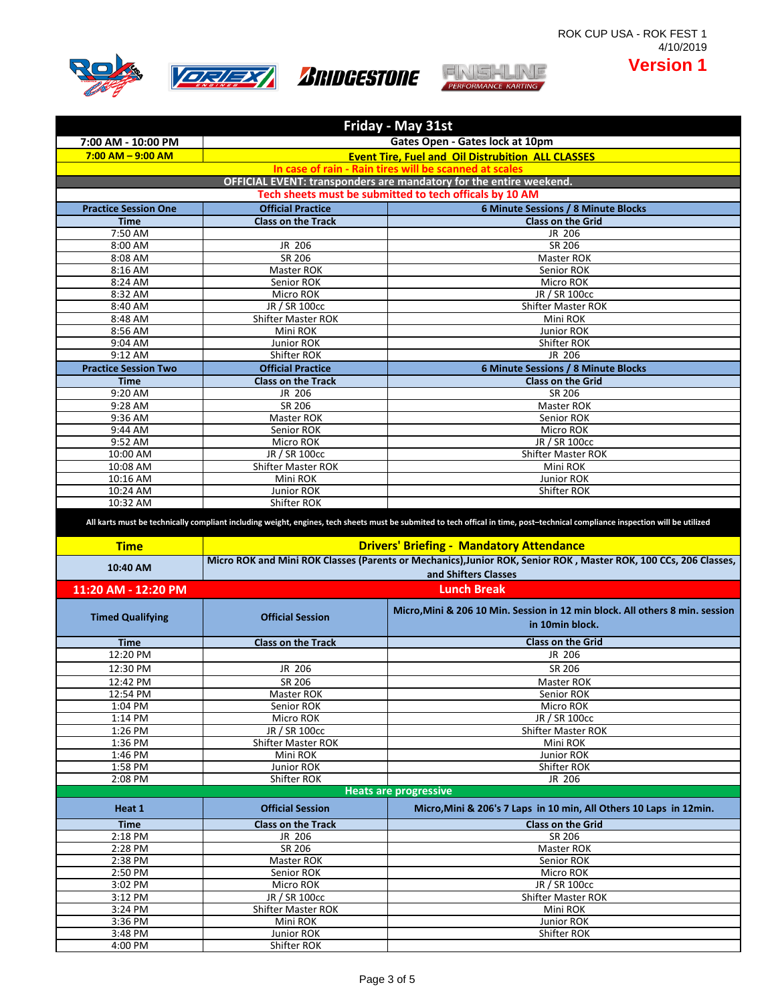





**Version 1**

| Gates Open - Gates lock at 10pm<br>7:00 AM - 10:00 PM<br>$7:00$ AM $-9:00$ AM<br><b>Event Tire, Fuel and Oil Distrubition ALL CLASSES</b><br>In case of rain - Rain tires will be scanned at scales<br>OFFICIAL EVENT: transponders are mandatory for the entire weekend.<br>Tech sheets must be submitted to tech officals by 10 AM<br>6 Minute Sessions / 8 Minute Blocks<br><b>Official Practice</b><br><b>Practice Session One</b><br><b>Class on the Track</b><br><b>Class on the Grid</b><br><b>Time</b><br>7:50 AM<br>JR 206<br>SR 206<br>8:00 AM<br>JR 206<br>SR 206<br>8:08 AM<br>Master ROK<br>8:16 AM<br>Master ROK<br>Senior ROK<br>Senior ROK<br>Micro ROK<br>8:24 AM<br>JR / SR 100cc<br>8:32 AM<br>Micro ROK<br>JR / SR 100cc<br><b>Shifter Master ROK</b><br>8:40 AM<br><b>Shifter Master ROK</b><br>Mini ROK<br>8:48 AM<br>Mini ROK<br>Junior ROK<br>8:56 AM<br>9:04 AM<br>Junior ROK<br>Shifter ROK<br>Shifter ROK<br>9:12 AM<br>JR 206<br><b>Official Practice</b><br>6 Minute Sessions / 8 Minute Blocks<br><b>Practice Session Two</b><br><b>Class on the Track</b><br><b>Class on the Grid</b><br><b>Time</b><br>9:20 AM<br>JR 206<br>SR 206<br>SR 206<br>9:28 AM<br><b>Master ROK</b><br>Master ROK<br>Senior ROK<br>9:36 AM<br>9:44 AM<br>Senior ROK<br>Micro ROK<br>9:52 AM<br>JR / SR 100cc<br>Micro ROK<br>JR / SR 100cc<br>10:00 AM<br><b>Shifter Master ROK</b><br>10:08 AM<br>Shifter Master ROK<br>Mini ROK<br>Mini ROK<br>Junior ROK<br>10:16 AM<br>Junior ROK<br>10:24 AM<br>Shifter ROK<br>10:32 AM<br>Shifter ROK<br>All karts must be technically compliant including weight, engines, tech sheets must be submited to tech offical in time, post-technical compliance inspection will be utilized<br><b>Drivers' Briefing - Mandatory Attendance</b><br><b>Time</b><br>Micro ROK and Mini ROK Classes (Parents or Mechanics), Junior ROK, Senior ROK, Master ROK, 100 CCs, 206 Classes,<br>10:40 AM<br>and Shifters Classes<br><b>Lunch Break</b><br>11:20 AM - 12:20 PM<br>Micro, Mini & 206 10 Min. Session in 12 min block. All others 8 min. session<br><b>Timed Qualifying</b><br><b>Official Session</b><br>in 10min block.<br><b>Time</b><br><b>Class on the Track</b><br><b>Class on the Grid</b><br>12:20 PM<br>JR 206<br>12:30 PM<br>JR 206<br>SR 206<br>12:42 PM<br>SR 206<br>Master ROK<br>12:54 PM<br>Master ROK<br>Senior ROK<br>1:04 PM<br>Senior ROK<br>Micro ROK<br>1:14 PM<br>Micro ROK<br>JR / SR 100cc<br>JR / SR 100cc<br>1:26 PM<br>Shifter Master ROK<br>Shifter Master ROK<br>1:36 PM<br>Mini ROK<br>1:46 PM<br>Mini ROK<br>Junior ROK<br>1:58 PM<br>Junior ROK<br>Shifter ROK<br>2:08 PM<br>Shifter ROK<br>JR 206<br><b>Heats are progressive</b><br><b>Official Session</b><br>Micro, Mini & 206's 7 Laps in 10 min, All Others 10 Laps in 12 min.<br>Heat 1<br><b>Time</b><br><b>Class on the Grid</b><br><b>Class on the Track</b><br>2:18 PM<br>JR 206<br>SR 206<br>2:28 PM<br>SR 206<br>Master ROK<br>2:38 PM<br>Master ROK<br>Senior ROK<br>2:50 PM<br>Senior ROK<br>Micro ROK<br>3:02 PM<br>Micro ROK<br>JR / SR 100cc<br>JR / SR 100cc<br>3:12 PM<br>Shifter Master ROK<br>3:24 PM<br>Shifter Master ROK<br>Mini ROK<br>3:36 PM<br>Mini ROK<br>Junior ROK<br>3:48 PM<br>Junior ROK<br>Shifter ROK<br>4:00 PM<br>Shifter ROK |  |  | Friday - May 31st |
|---------------------------------------------------------------------------------------------------------------------------------------------------------------------------------------------------------------------------------------------------------------------------------------------------------------------------------------------------------------------------------------------------------------------------------------------------------------------------------------------------------------------------------------------------------------------------------------------------------------------------------------------------------------------------------------------------------------------------------------------------------------------------------------------------------------------------------------------------------------------------------------------------------------------------------------------------------------------------------------------------------------------------------------------------------------------------------------------------------------------------------------------------------------------------------------------------------------------------------------------------------------------------------------------------------------------------------------------------------------------------------------------------------------------------------------------------------------------------------------------------------------------------------------------------------------------------------------------------------------------------------------------------------------------------------------------------------------------------------------------------------------------------------------------------------------------------------------------------------------------------------------------------------------------------------------------------------------------------------------------------------------------------------------------------------------------------------------------------------------------------------------------------------------------------------------------------------------------------------------------------------------------------------------------------------------------------------------------------------------------------------------------------------------------------------------------------------------------------------------------------------------------------------------------------------------------------------------------------------------------------------------------------------------------------------------------------------------------------------------------------------------------------------------------------------------------------------------------------------------------------------------------------------------------------------------------------------------------------------------------------------------------------------------------------------------------------------------------------------------------------------------------------------------------------------------------------------------------------------------------------------------------------------------------------|--|--|-------------------|
|                                                                                                                                                                                                                                                                                                                                                                                                                                                                                                                                                                                                                                                                                                                                                                                                                                                                                                                                                                                                                                                                                                                                                                                                                                                                                                                                                                                                                                                                                                                                                                                                                                                                                                                                                                                                                                                                                                                                                                                                                                                                                                                                                                                                                                                                                                                                                                                                                                                                                                                                                                                                                                                                                                                                                                                                                                                                                                                                                                                                                                                                                                                                                                                                                                                                                                   |  |  |                   |
|                                                                                                                                                                                                                                                                                                                                                                                                                                                                                                                                                                                                                                                                                                                                                                                                                                                                                                                                                                                                                                                                                                                                                                                                                                                                                                                                                                                                                                                                                                                                                                                                                                                                                                                                                                                                                                                                                                                                                                                                                                                                                                                                                                                                                                                                                                                                                                                                                                                                                                                                                                                                                                                                                                                                                                                                                                                                                                                                                                                                                                                                                                                                                                                                                                                                                                   |  |  |                   |
|                                                                                                                                                                                                                                                                                                                                                                                                                                                                                                                                                                                                                                                                                                                                                                                                                                                                                                                                                                                                                                                                                                                                                                                                                                                                                                                                                                                                                                                                                                                                                                                                                                                                                                                                                                                                                                                                                                                                                                                                                                                                                                                                                                                                                                                                                                                                                                                                                                                                                                                                                                                                                                                                                                                                                                                                                                                                                                                                                                                                                                                                                                                                                                                                                                                                                                   |  |  |                   |
|                                                                                                                                                                                                                                                                                                                                                                                                                                                                                                                                                                                                                                                                                                                                                                                                                                                                                                                                                                                                                                                                                                                                                                                                                                                                                                                                                                                                                                                                                                                                                                                                                                                                                                                                                                                                                                                                                                                                                                                                                                                                                                                                                                                                                                                                                                                                                                                                                                                                                                                                                                                                                                                                                                                                                                                                                                                                                                                                                                                                                                                                                                                                                                                                                                                                                                   |  |  |                   |
|                                                                                                                                                                                                                                                                                                                                                                                                                                                                                                                                                                                                                                                                                                                                                                                                                                                                                                                                                                                                                                                                                                                                                                                                                                                                                                                                                                                                                                                                                                                                                                                                                                                                                                                                                                                                                                                                                                                                                                                                                                                                                                                                                                                                                                                                                                                                                                                                                                                                                                                                                                                                                                                                                                                                                                                                                                                                                                                                                                                                                                                                                                                                                                                                                                                                                                   |  |  |                   |
|                                                                                                                                                                                                                                                                                                                                                                                                                                                                                                                                                                                                                                                                                                                                                                                                                                                                                                                                                                                                                                                                                                                                                                                                                                                                                                                                                                                                                                                                                                                                                                                                                                                                                                                                                                                                                                                                                                                                                                                                                                                                                                                                                                                                                                                                                                                                                                                                                                                                                                                                                                                                                                                                                                                                                                                                                                                                                                                                                                                                                                                                                                                                                                                                                                                                                                   |  |  |                   |
|                                                                                                                                                                                                                                                                                                                                                                                                                                                                                                                                                                                                                                                                                                                                                                                                                                                                                                                                                                                                                                                                                                                                                                                                                                                                                                                                                                                                                                                                                                                                                                                                                                                                                                                                                                                                                                                                                                                                                                                                                                                                                                                                                                                                                                                                                                                                                                                                                                                                                                                                                                                                                                                                                                                                                                                                                                                                                                                                                                                                                                                                                                                                                                                                                                                                                                   |  |  |                   |
|                                                                                                                                                                                                                                                                                                                                                                                                                                                                                                                                                                                                                                                                                                                                                                                                                                                                                                                                                                                                                                                                                                                                                                                                                                                                                                                                                                                                                                                                                                                                                                                                                                                                                                                                                                                                                                                                                                                                                                                                                                                                                                                                                                                                                                                                                                                                                                                                                                                                                                                                                                                                                                                                                                                                                                                                                                                                                                                                                                                                                                                                                                                                                                                                                                                                                                   |  |  |                   |
|                                                                                                                                                                                                                                                                                                                                                                                                                                                                                                                                                                                                                                                                                                                                                                                                                                                                                                                                                                                                                                                                                                                                                                                                                                                                                                                                                                                                                                                                                                                                                                                                                                                                                                                                                                                                                                                                                                                                                                                                                                                                                                                                                                                                                                                                                                                                                                                                                                                                                                                                                                                                                                                                                                                                                                                                                                                                                                                                                                                                                                                                                                                                                                                                                                                                                                   |  |  |                   |
|                                                                                                                                                                                                                                                                                                                                                                                                                                                                                                                                                                                                                                                                                                                                                                                                                                                                                                                                                                                                                                                                                                                                                                                                                                                                                                                                                                                                                                                                                                                                                                                                                                                                                                                                                                                                                                                                                                                                                                                                                                                                                                                                                                                                                                                                                                                                                                                                                                                                                                                                                                                                                                                                                                                                                                                                                                                                                                                                                                                                                                                                                                                                                                                                                                                                                                   |  |  |                   |
|                                                                                                                                                                                                                                                                                                                                                                                                                                                                                                                                                                                                                                                                                                                                                                                                                                                                                                                                                                                                                                                                                                                                                                                                                                                                                                                                                                                                                                                                                                                                                                                                                                                                                                                                                                                                                                                                                                                                                                                                                                                                                                                                                                                                                                                                                                                                                                                                                                                                                                                                                                                                                                                                                                                                                                                                                                                                                                                                                                                                                                                                                                                                                                                                                                                                                                   |  |  |                   |
|                                                                                                                                                                                                                                                                                                                                                                                                                                                                                                                                                                                                                                                                                                                                                                                                                                                                                                                                                                                                                                                                                                                                                                                                                                                                                                                                                                                                                                                                                                                                                                                                                                                                                                                                                                                                                                                                                                                                                                                                                                                                                                                                                                                                                                                                                                                                                                                                                                                                                                                                                                                                                                                                                                                                                                                                                                                                                                                                                                                                                                                                                                                                                                                                                                                                                                   |  |  |                   |
|                                                                                                                                                                                                                                                                                                                                                                                                                                                                                                                                                                                                                                                                                                                                                                                                                                                                                                                                                                                                                                                                                                                                                                                                                                                                                                                                                                                                                                                                                                                                                                                                                                                                                                                                                                                                                                                                                                                                                                                                                                                                                                                                                                                                                                                                                                                                                                                                                                                                                                                                                                                                                                                                                                                                                                                                                                                                                                                                                                                                                                                                                                                                                                                                                                                                                                   |  |  |                   |
|                                                                                                                                                                                                                                                                                                                                                                                                                                                                                                                                                                                                                                                                                                                                                                                                                                                                                                                                                                                                                                                                                                                                                                                                                                                                                                                                                                                                                                                                                                                                                                                                                                                                                                                                                                                                                                                                                                                                                                                                                                                                                                                                                                                                                                                                                                                                                                                                                                                                                                                                                                                                                                                                                                                                                                                                                                                                                                                                                                                                                                                                                                                                                                                                                                                                                                   |  |  |                   |
|                                                                                                                                                                                                                                                                                                                                                                                                                                                                                                                                                                                                                                                                                                                                                                                                                                                                                                                                                                                                                                                                                                                                                                                                                                                                                                                                                                                                                                                                                                                                                                                                                                                                                                                                                                                                                                                                                                                                                                                                                                                                                                                                                                                                                                                                                                                                                                                                                                                                                                                                                                                                                                                                                                                                                                                                                                                                                                                                                                                                                                                                                                                                                                                                                                                                                                   |  |  |                   |
|                                                                                                                                                                                                                                                                                                                                                                                                                                                                                                                                                                                                                                                                                                                                                                                                                                                                                                                                                                                                                                                                                                                                                                                                                                                                                                                                                                                                                                                                                                                                                                                                                                                                                                                                                                                                                                                                                                                                                                                                                                                                                                                                                                                                                                                                                                                                                                                                                                                                                                                                                                                                                                                                                                                                                                                                                                                                                                                                                                                                                                                                                                                                                                                                                                                                                                   |  |  |                   |
|                                                                                                                                                                                                                                                                                                                                                                                                                                                                                                                                                                                                                                                                                                                                                                                                                                                                                                                                                                                                                                                                                                                                                                                                                                                                                                                                                                                                                                                                                                                                                                                                                                                                                                                                                                                                                                                                                                                                                                                                                                                                                                                                                                                                                                                                                                                                                                                                                                                                                                                                                                                                                                                                                                                                                                                                                                                                                                                                                                                                                                                                                                                                                                                                                                                                                                   |  |  |                   |
|                                                                                                                                                                                                                                                                                                                                                                                                                                                                                                                                                                                                                                                                                                                                                                                                                                                                                                                                                                                                                                                                                                                                                                                                                                                                                                                                                                                                                                                                                                                                                                                                                                                                                                                                                                                                                                                                                                                                                                                                                                                                                                                                                                                                                                                                                                                                                                                                                                                                                                                                                                                                                                                                                                                                                                                                                                                                                                                                                                                                                                                                                                                                                                                                                                                                                                   |  |  |                   |
|                                                                                                                                                                                                                                                                                                                                                                                                                                                                                                                                                                                                                                                                                                                                                                                                                                                                                                                                                                                                                                                                                                                                                                                                                                                                                                                                                                                                                                                                                                                                                                                                                                                                                                                                                                                                                                                                                                                                                                                                                                                                                                                                                                                                                                                                                                                                                                                                                                                                                                                                                                                                                                                                                                                                                                                                                                                                                                                                                                                                                                                                                                                                                                                                                                                                                                   |  |  |                   |
|                                                                                                                                                                                                                                                                                                                                                                                                                                                                                                                                                                                                                                                                                                                                                                                                                                                                                                                                                                                                                                                                                                                                                                                                                                                                                                                                                                                                                                                                                                                                                                                                                                                                                                                                                                                                                                                                                                                                                                                                                                                                                                                                                                                                                                                                                                                                                                                                                                                                                                                                                                                                                                                                                                                                                                                                                                                                                                                                                                                                                                                                                                                                                                                                                                                                                                   |  |  |                   |
|                                                                                                                                                                                                                                                                                                                                                                                                                                                                                                                                                                                                                                                                                                                                                                                                                                                                                                                                                                                                                                                                                                                                                                                                                                                                                                                                                                                                                                                                                                                                                                                                                                                                                                                                                                                                                                                                                                                                                                                                                                                                                                                                                                                                                                                                                                                                                                                                                                                                                                                                                                                                                                                                                                                                                                                                                                                                                                                                                                                                                                                                                                                                                                                                                                                                                                   |  |  |                   |
|                                                                                                                                                                                                                                                                                                                                                                                                                                                                                                                                                                                                                                                                                                                                                                                                                                                                                                                                                                                                                                                                                                                                                                                                                                                                                                                                                                                                                                                                                                                                                                                                                                                                                                                                                                                                                                                                                                                                                                                                                                                                                                                                                                                                                                                                                                                                                                                                                                                                                                                                                                                                                                                                                                                                                                                                                                                                                                                                                                                                                                                                                                                                                                                                                                                                                                   |  |  |                   |
|                                                                                                                                                                                                                                                                                                                                                                                                                                                                                                                                                                                                                                                                                                                                                                                                                                                                                                                                                                                                                                                                                                                                                                                                                                                                                                                                                                                                                                                                                                                                                                                                                                                                                                                                                                                                                                                                                                                                                                                                                                                                                                                                                                                                                                                                                                                                                                                                                                                                                                                                                                                                                                                                                                                                                                                                                                                                                                                                                                                                                                                                                                                                                                                                                                                                                                   |  |  |                   |
|                                                                                                                                                                                                                                                                                                                                                                                                                                                                                                                                                                                                                                                                                                                                                                                                                                                                                                                                                                                                                                                                                                                                                                                                                                                                                                                                                                                                                                                                                                                                                                                                                                                                                                                                                                                                                                                                                                                                                                                                                                                                                                                                                                                                                                                                                                                                                                                                                                                                                                                                                                                                                                                                                                                                                                                                                                                                                                                                                                                                                                                                                                                                                                                                                                                                                                   |  |  |                   |
|                                                                                                                                                                                                                                                                                                                                                                                                                                                                                                                                                                                                                                                                                                                                                                                                                                                                                                                                                                                                                                                                                                                                                                                                                                                                                                                                                                                                                                                                                                                                                                                                                                                                                                                                                                                                                                                                                                                                                                                                                                                                                                                                                                                                                                                                                                                                                                                                                                                                                                                                                                                                                                                                                                                                                                                                                                                                                                                                                                                                                                                                                                                                                                                                                                                                                                   |  |  |                   |
|                                                                                                                                                                                                                                                                                                                                                                                                                                                                                                                                                                                                                                                                                                                                                                                                                                                                                                                                                                                                                                                                                                                                                                                                                                                                                                                                                                                                                                                                                                                                                                                                                                                                                                                                                                                                                                                                                                                                                                                                                                                                                                                                                                                                                                                                                                                                                                                                                                                                                                                                                                                                                                                                                                                                                                                                                                                                                                                                                                                                                                                                                                                                                                                                                                                                                                   |  |  |                   |
|                                                                                                                                                                                                                                                                                                                                                                                                                                                                                                                                                                                                                                                                                                                                                                                                                                                                                                                                                                                                                                                                                                                                                                                                                                                                                                                                                                                                                                                                                                                                                                                                                                                                                                                                                                                                                                                                                                                                                                                                                                                                                                                                                                                                                                                                                                                                                                                                                                                                                                                                                                                                                                                                                                                                                                                                                                                                                                                                                                                                                                                                                                                                                                                                                                                                                                   |  |  |                   |
|                                                                                                                                                                                                                                                                                                                                                                                                                                                                                                                                                                                                                                                                                                                                                                                                                                                                                                                                                                                                                                                                                                                                                                                                                                                                                                                                                                                                                                                                                                                                                                                                                                                                                                                                                                                                                                                                                                                                                                                                                                                                                                                                                                                                                                                                                                                                                                                                                                                                                                                                                                                                                                                                                                                                                                                                                                                                                                                                                                                                                                                                                                                                                                                                                                                                                                   |  |  |                   |
|                                                                                                                                                                                                                                                                                                                                                                                                                                                                                                                                                                                                                                                                                                                                                                                                                                                                                                                                                                                                                                                                                                                                                                                                                                                                                                                                                                                                                                                                                                                                                                                                                                                                                                                                                                                                                                                                                                                                                                                                                                                                                                                                                                                                                                                                                                                                                                                                                                                                                                                                                                                                                                                                                                                                                                                                                                                                                                                                                                                                                                                                                                                                                                                                                                                                                                   |  |  |                   |
|                                                                                                                                                                                                                                                                                                                                                                                                                                                                                                                                                                                                                                                                                                                                                                                                                                                                                                                                                                                                                                                                                                                                                                                                                                                                                                                                                                                                                                                                                                                                                                                                                                                                                                                                                                                                                                                                                                                                                                                                                                                                                                                                                                                                                                                                                                                                                                                                                                                                                                                                                                                                                                                                                                                                                                                                                                                                                                                                                                                                                                                                                                                                                                                                                                                                                                   |  |  |                   |
|                                                                                                                                                                                                                                                                                                                                                                                                                                                                                                                                                                                                                                                                                                                                                                                                                                                                                                                                                                                                                                                                                                                                                                                                                                                                                                                                                                                                                                                                                                                                                                                                                                                                                                                                                                                                                                                                                                                                                                                                                                                                                                                                                                                                                                                                                                                                                                                                                                                                                                                                                                                                                                                                                                                                                                                                                                                                                                                                                                                                                                                                                                                                                                                                                                                                                                   |  |  |                   |
|                                                                                                                                                                                                                                                                                                                                                                                                                                                                                                                                                                                                                                                                                                                                                                                                                                                                                                                                                                                                                                                                                                                                                                                                                                                                                                                                                                                                                                                                                                                                                                                                                                                                                                                                                                                                                                                                                                                                                                                                                                                                                                                                                                                                                                                                                                                                                                                                                                                                                                                                                                                                                                                                                                                                                                                                                                                                                                                                                                                                                                                                                                                                                                                                                                                                                                   |  |  |                   |
|                                                                                                                                                                                                                                                                                                                                                                                                                                                                                                                                                                                                                                                                                                                                                                                                                                                                                                                                                                                                                                                                                                                                                                                                                                                                                                                                                                                                                                                                                                                                                                                                                                                                                                                                                                                                                                                                                                                                                                                                                                                                                                                                                                                                                                                                                                                                                                                                                                                                                                                                                                                                                                                                                                                                                                                                                                                                                                                                                                                                                                                                                                                                                                                                                                                                                                   |  |  |                   |
|                                                                                                                                                                                                                                                                                                                                                                                                                                                                                                                                                                                                                                                                                                                                                                                                                                                                                                                                                                                                                                                                                                                                                                                                                                                                                                                                                                                                                                                                                                                                                                                                                                                                                                                                                                                                                                                                                                                                                                                                                                                                                                                                                                                                                                                                                                                                                                                                                                                                                                                                                                                                                                                                                                                                                                                                                                                                                                                                                                                                                                                                                                                                                                                                                                                                                                   |  |  |                   |
|                                                                                                                                                                                                                                                                                                                                                                                                                                                                                                                                                                                                                                                                                                                                                                                                                                                                                                                                                                                                                                                                                                                                                                                                                                                                                                                                                                                                                                                                                                                                                                                                                                                                                                                                                                                                                                                                                                                                                                                                                                                                                                                                                                                                                                                                                                                                                                                                                                                                                                                                                                                                                                                                                                                                                                                                                                                                                                                                                                                                                                                                                                                                                                                                                                                                                                   |  |  |                   |
|                                                                                                                                                                                                                                                                                                                                                                                                                                                                                                                                                                                                                                                                                                                                                                                                                                                                                                                                                                                                                                                                                                                                                                                                                                                                                                                                                                                                                                                                                                                                                                                                                                                                                                                                                                                                                                                                                                                                                                                                                                                                                                                                                                                                                                                                                                                                                                                                                                                                                                                                                                                                                                                                                                                                                                                                                                                                                                                                                                                                                                                                                                                                                                                                                                                                                                   |  |  |                   |
|                                                                                                                                                                                                                                                                                                                                                                                                                                                                                                                                                                                                                                                                                                                                                                                                                                                                                                                                                                                                                                                                                                                                                                                                                                                                                                                                                                                                                                                                                                                                                                                                                                                                                                                                                                                                                                                                                                                                                                                                                                                                                                                                                                                                                                                                                                                                                                                                                                                                                                                                                                                                                                                                                                                                                                                                                                                                                                                                                                                                                                                                                                                                                                                                                                                                                                   |  |  |                   |
|                                                                                                                                                                                                                                                                                                                                                                                                                                                                                                                                                                                                                                                                                                                                                                                                                                                                                                                                                                                                                                                                                                                                                                                                                                                                                                                                                                                                                                                                                                                                                                                                                                                                                                                                                                                                                                                                                                                                                                                                                                                                                                                                                                                                                                                                                                                                                                                                                                                                                                                                                                                                                                                                                                                                                                                                                                                                                                                                                                                                                                                                                                                                                                                                                                                                                                   |  |  |                   |
|                                                                                                                                                                                                                                                                                                                                                                                                                                                                                                                                                                                                                                                                                                                                                                                                                                                                                                                                                                                                                                                                                                                                                                                                                                                                                                                                                                                                                                                                                                                                                                                                                                                                                                                                                                                                                                                                                                                                                                                                                                                                                                                                                                                                                                                                                                                                                                                                                                                                                                                                                                                                                                                                                                                                                                                                                                                                                                                                                                                                                                                                                                                                                                                                                                                                                                   |  |  |                   |
|                                                                                                                                                                                                                                                                                                                                                                                                                                                                                                                                                                                                                                                                                                                                                                                                                                                                                                                                                                                                                                                                                                                                                                                                                                                                                                                                                                                                                                                                                                                                                                                                                                                                                                                                                                                                                                                                                                                                                                                                                                                                                                                                                                                                                                                                                                                                                                                                                                                                                                                                                                                                                                                                                                                                                                                                                                                                                                                                                                                                                                                                                                                                                                                                                                                                                                   |  |  |                   |
|                                                                                                                                                                                                                                                                                                                                                                                                                                                                                                                                                                                                                                                                                                                                                                                                                                                                                                                                                                                                                                                                                                                                                                                                                                                                                                                                                                                                                                                                                                                                                                                                                                                                                                                                                                                                                                                                                                                                                                                                                                                                                                                                                                                                                                                                                                                                                                                                                                                                                                                                                                                                                                                                                                                                                                                                                                                                                                                                                                                                                                                                                                                                                                                                                                                                                                   |  |  |                   |
|                                                                                                                                                                                                                                                                                                                                                                                                                                                                                                                                                                                                                                                                                                                                                                                                                                                                                                                                                                                                                                                                                                                                                                                                                                                                                                                                                                                                                                                                                                                                                                                                                                                                                                                                                                                                                                                                                                                                                                                                                                                                                                                                                                                                                                                                                                                                                                                                                                                                                                                                                                                                                                                                                                                                                                                                                                                                                                                                                                                                                                                                                                                                                                                                                                                                                                   |  |  |                   |
|                                                                                                                                                                                                                                                                                                                                                                                                                                                                                                                                                                                                                                                                                                                                                                                                                                                                                                                                                                                                                                                                                                                                                                                                                                                                                                                                                                                                                                                                                                                                                                                                                                                                                                                                                                                                                                                                                                                                                                                                                                                                                                                                                                                                                                                                                                                                                                                                                                                                                                                                                                                                                                                                                                                                                                                                                                                                                                                                                                                                                                                                                                                                                                                                                                                                                                   |  |  |                   |
|                                                                                                                                                                                                                                                                                                                                                                                                                                                                                                                                                                                                                                                                                                                                                                                                                                                                                                                                                                                                                                                                                                                                                                                                                                                                                                                                                                                                                                                                                                                                                                                                                                                                                                                                                                                                                                                                                                                                                                                                                                                                                                                                                                                                                                                                                                                                                                                                                                                                                                                                                                                                                                                                                                                                                                                                                                                                                                                                                                                                                                                                                                                                                                                                                                                                                                   |  |  |                   |
|                                                                                                                                                                                                                                                                                                                                                                                                                                                                                                                                                                                                                                                                                                                                                                                                                                                                                                                                                                                                                                                                                                                                                                                                                                                                                                                                                                                                                                                                                                                                                                                                                                                                                                                                                                                                                                                                                                                                                                                                                                                                                                                                                                                                                                                                                                                                                                                                                                                                                                                                                                                                                                                                                                                                                                                                                                                                                                                                                                                                                                                                                                                                                                                                                                                                                                   |  |  |                   |
|                                                                                                                                                                                                                                                                                                                                                                                                                                                                                                                                                                                                                                                                                                                                                                                                                                                                                                                                                                                                                                                                                                                                                                                                                                                                                                                                                                                                                                                                                                                                                                                                                                                                                                                                                                                                                                                                                                                                                                                                                                                                                                                                                                                                                                                                                                                                                                                                                                                                                                                                                                                                                                                                                                                                                                                                                                                                                                                                                                                                                                                                                                                                                                                                                                                                                                   |  |  |                   |
|                                                                                                                                                                                                                                                                                                                                                                                                                                                                                                                                                                                                                                                                                                                                                                                                                                                                                                                                                                                                                                                                                                                                                                                                                                                                                                                                                                                                                                                                                                                                                                                                                                                                                                                                                                                                                                                                                                                                                                                                                                                                                                                                                                                                                                                                                                                                                                                                                                                                                                                                                                                                                                                                                                                                                                                                                                                                                                                                                                                                                                                                                                                                                                                                                                                                                                   |  |  |                   |
|                                                                                                                                                                                                                                                                                                                                                                                                                                                                                                                                                                                                                                                                                                                                                                                                                                                                                                                                                                                                                                                                                                                                                                                                                                                                                                                                                                                                                                                                                                                                                                                                                                                                                                                                                                                                                                                                                                                                                                                                                                                                                                                                                                                                                                                                                                                                                                                                                                                                                                                                                                                                                                                                                                                                                                                                                                                                                                                                                                                                                                                                                                                                                                                                                                                                                                   |  |  |                   |
|                                                                                                                                                                                                                                                                                                                                                                                                                                                                                                                                                                                                                                                                                                                                                                                                                                                                                                                                                                                                                                                                                                                                                                                                                                                                                                                                                                                                                                                                                                                                                                                                                                                                                                                                                                                                                                                                                                                                                                                                                                                                                                                                                                                                                                                                                                                                                                                                                                                                                                                                                                                                                                                                                                                                                                                                                                                                                                                                                                                                                                                                                                                                                                                                                                                                                                   |  |  |                   |
|                                                                                                                                                                                                                                                                                                                                                                                                                                                                                                                                                                                                                                                                                                                                                                                                                                                                                                                                                                                                                                                                                                                                                                                                                                                                                                                                                                                                                                                                                                                                                                                                                                                                                                                                                                                                                                                                                                                                                                                                                                                                                                                                                                                                                                                                                                                                                                                                                                                                                                                                                                                                                                                                                                                                                                                                                                                                                                                                                                                                                                                                                                                                                                                                                                                                                                   |  |  |                   |
|                                                                                                                                                                                                                                                                                                                                                                                                                                                                                                                                                                                                                                                                                                                                                                                                                                                                                                                                                                                                                                                                                                                                                                                                                                                                                                                                                                                                                                                                                                                                                                                                                                                                                                                                                                                                                                                                                                                                                                                                                                                                                                                                                                                                                                                                                                                                                                                                                                                                                                                                                                                                                                                                                                                                                                                                                                                                                                                                                                                                                                                                                                                                                                                                                                                                                                   |  |  |                   |
|                                                                                                                                                                                                                                                                                                                                                                                                                                                                                                                                                                                                                                                                                                                                                                                                                                                                                                                                                                                                                                                                                                                                                                                                                                                                                                                                                                                                                                                                                                                                                                                                                                                                                                                                                                                                                                                                                                                                                                                                                                                                                                                                                                                                                                                                                                                                                                                                                                                                                                                                                                                                                                                                                                                                                                                                                                                                                                                                                                                                                                                                                                                                                                                                                                                                                                   |  |  |                   |
|                                                                                                                                                                                                                                                                                                                                                                                                                                                                                                                                                                                                                                                                                                                                                                                                                                                                                                                                                                                                                                                                                                                                                                                                                                                                                                                                                                                                                                                                                                                                                                                                                                                                                                                                                                                                                                                                                                                                                                                                                                                                                                                                                                                                                                                                                                                                                                                                                                                                                                                                                                                                                                                                                                                                                                                                                                                                                                                                                                                                                                                                                                                                                                                                                                                                                                   |  |  |                   |
|                                                                                                                                                                                                                                                                                                                                                                                                                                                                                                                                                                                                                                                                                                                                                                                                                                                                                                                                                                                                                                                                                                                                                                                                                                                                                                                                                                                                                                                                                                                                                                                                                                                                                                                                                                                                                                                                                                                                                                                                                                                                                                                                                                                                                                                                                                                                                                                                                                                                                                                                                                                                                                                                                                                                                                                                                                                                                                                                                                                                                                                                                                                                                                                                                                                                                                   |  |  |                   |
|                                                                                                                                                                                                                                                                                                                                                                                                                                                                                                                                                                                                                                                                                                                                                                                                                                                                                                                                                                                                                                                                                                                                                                                                                                                                                                                                                                                                                                                                                                                                                                                                                                                                                                                                                                                                                                                                                                                                                                                                                                                                                                                                                                                                                                                                                                                                                                                                                                                                                                                                                                                                                                                                                                                                                                                                                                                                                                                                                                                                                                                                                                                                                                                                                                                                                                   |  |  |                   |
|                                                                                                                                                                                                                                                                                                                                                                                                                                                                                                                                                                                                                                                                                                                                                                                                                                                                                                                                                                                                                                                                                                                                                                                                                                                                                                                                                                                                                                                                                                                                                                                                                                                                                                                                                                                                                                                                                                                                                                                                                                                                                                                                                                                                                                                                                                                                                                                                                                                                                                                                                                                                                                                                                                                                                                                                                                                                                                                                                                                                                                                                                                                                                                                                                                                                                                   |  |  |                   |
|                                                                                                                                                                                                                                                                                                                                                                                                                                                                                                                                                                                                                                                                                                                                                                                                                                                                                                                                                                                                                                                                                                                                                                                                                                                                                                                                                                                                                                                                                                                                                                                                                                                                                                                                                                                                                                                                                                                                                                                                                                                                                                                                                                                                                                                                                                                                                                                                                                                                                                                                                                                                                                                                                                                                                                                                                                                                                                                                                                                                                                                                                                                                                                                                                                                                                                   |  |  |                   |
|                                                                                                                                                                                                                                                                                                                                                                                                                                                                                                                                                                                                                                                                                                                                                                                                                                                                                                                                                                                                                                                                                                                                                                                                                                                                                                                                                                                                                                                                                                                                                                                                                                                                                                                                                                                                                                                                                                                                                                                                                                                                                                                                                                                                                                                                                                                                                                                                                                                                                                                                                                                                                                                                                                                                                                                                                                                                                                                                                                                                                                                                                                                                                                                                                                                                                                   |  |  |                   |
|                                                                                                                                                                                                                                                                                                                                                                                                                                                                                                                                                                                                                                                                                                                                                                                                                                                                                                                                                                                                                                                                                                                                                                                                                                                                                                                                                                                                                                                                                                                                                                                                                                                                                                                                                                                                                                                                                                                                                                                                                                                                                                                                                                                                                                                                                                                                                                                                                                                                                                                                                                                                                                                                                                                                                                                                                                                                                                                                                                                                                                                                                                                                                                                                                                                                                                   |  |  |                   |
|                                                                                                                                                                                                                                                                                                                                                                                                                                                                                                                                                                                                                                                                                                                                                                                                                                                                                                                                                                                                                                                                                                                                                                                                                                                                                                                                                                                                                                                                                                                                                                                                                                                                                                                                                                                                                                                                                                                                                                                                                                                                                                                                                                                                                                                                                                                                                                                                                                                                                                                                                                                                                                                                                                                                                                                                                                                                                                                                                                                                                                                                                                                                                                                                                                                                                                   |  |  |                   |
|                                                                                                                                                                                                                                                                                                                                                                                                                                                                                                                                                                                                                                                                                                                                                                                                                                                                                                                                                                                                                                                                                                                                                                                                                                                                                                                                                                                                                                                                                                                                                                                                                                                                                                                                                                                                                                                                                                                                                                                                                                                                                                                                                                                                                                                                                                                                                                                                                                                                                                                                                                                                                                                                                                                                                                                                                                                                                                                                                                                                                                                                                                                                                                                                                                                                                                   |  |  |                   |
|                                                                                                                                                                                                                                                                                                                                                                                                                                                                                                                                                                                                                                                                                                                                                                                                                                                                                                                                                                                                                                                                                                                                                                                                                                                                                                                                                                                                                                                                                                                                                                                                                                                                                                                                                                                                                                                                                                                                                                                                                                                                                                                                                                                                                                                                                                                                                                                                                                                                                                                                                                                                                                                                                                                                                                                                                                                                                                                                                                                                                                                                                                                                                                                                                                                                                                   |  |  |                   |
|                                                                                                                                                                                                                                                                                                                                                                                                                                                                                                                                                                                                                                                                                                                                                                                                                                                                                                                                                                                                                                                                                                                                                                                                                                                                                                                                                                                                                                                                                                                                                                                                                                                                                                                                                                                                                                                                                                                                                                                                                                                                                                                                                                                                                                                                                                                                                                                                                                                                                                                                                                                                                                                                                                                                                                                                                                                                                                                                                                                                                                                                                                                                                                                                                                                                                                   |  |  |                   |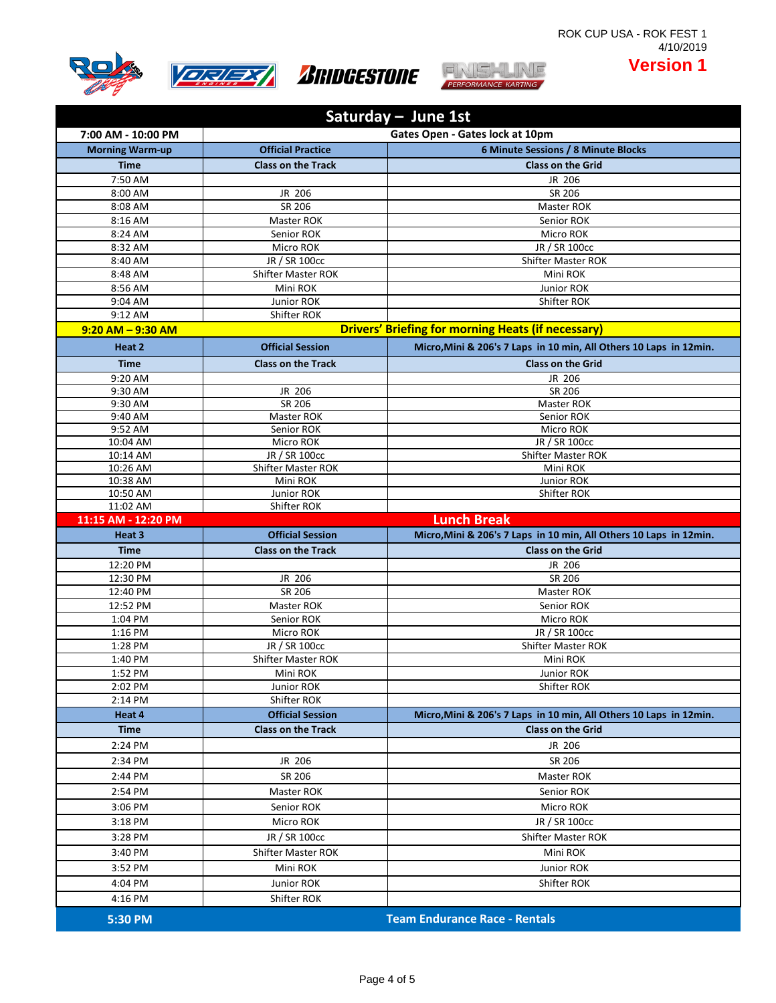







**Version 1**

| 7:00 AM - 10:00 PM     | Gates Open - Gates lock at 10pm |                                                                     |
|------------------------|---------------------------------|---------------------------------------------------------------------|
| <b>Morning Warm-up</b> | <b>Official Practice</b>        | 6 Minute Sessions / 8 Minute Blocks                                 |
| <b>Time</b>            | <b>Class on the Track</b>       | <b>Class on the Grid</b>                                            |
| 7:50 AM                |                                 | JR 206                                                              |
| 8:00 AM                | JR 206                          | SR 206                                                              |
| 8:08 AM                | SR 206                          | Master ROK                                                          |
| 8:16 AM                | Master ROK                      | Senior ROK                                                          |
| 8:24 AM                | Senior ROK                      | Micro ROK                                                           |
| 8:32 AM                | Micro ROK                       | JR / SR 100cc                                                       |
| 8:40 AM                | JR / SR 100cc                   | Shifter Master ROK                                                  |
| 8:48 AM                | <b>Shifter Master ROK</b>       | Mini ROK                                                            |
| 8:56 AM                | Mini ROK                        | Junior ROK                                                          |
| 9:04 AM                | <b>Junior ROK</b>               | Shifter ROK                                                         |
| 9:12 AM                | Shifter ROK                     |                                                                     |
| $9:20$ AM $-$ 9:30 AM  |                                 | <b>Drivers' Briefing for morning Heats (if necessary)</b>           |
| Heat 2                 | <b>Official Session</b>         | Micro, Mini & 206's 7 Laps in 10 min, All Others 10 Laps in 12 min. |
| <b>Time</b>            | <b>Class on the Track</b>       | <b>Class on the Grid</b>                                            |
| 9:20 AM                |                                 | JR 206                                                              |
| 9:30 AM                | JR 206                          | SR 206                                                              |
| 9:30 AM                | SR 206                          | Master ROK                                                          |
| 9:40 AM<br>9:52 AM     | Master ROK                      | Senior ROK                                                          |
| 10:04 AM               | Senior ROK<br>Micro ROK         | Micro ROK<br>JR / SR 100cc                                          |
| 10:14 AM               | JR / SR 100cc                   | <b>Shifter Master ROK</b>                                           |
| 10:26 AM               | <b>Shifter Master ROK</b>       | Mini ROK                                                            |
| 10:38 AM               | Mini ROK                        | Junior ROK                                                          |
| 10:50 AM               | Junior ROK                      | Shifter ROK                                                         |
| 11:02 AM               | Shifter ROK                     |                                                                     |
| 11:15 AM - 12:20 PM    |                                 | <b>Lunch Break</b>                                                  |
| Heat 3                 | <b>Official Session</b>         | Micro, Mini & 206's 7 Laps in 10 min, All Others 10 Laps in 12 min. |
| <b>Time</b>            | <b>Class on the Track</b>       | <b>Class on the Grid</b>                                            |
| 12:20 PM               |                                 | JR 206                                                              |
| 12:30 PM               | JR 206                          | SR 206                                                              |
| 12:40 PM               | SR 206                          | Master ROK                                                          |
| 12:52 PM               | Master ROK                      | Senior ROK                                                          |
| $1:04 \overline{PM}$   | Senior ROK                      | Micro ROK                                                           |
| 1:16 PM                | Micro ROK                       | JR / SR 100cc                                                       |
| 1:28 PM                | JR / SR 100cc                   | Shifter Master ROK                                                  |
| 1:40 PM                | <b>Shifter Master ROK</b>       | Mini ROK                                                            |
| 1:52 PM                | Mini ROK                        | <b>Junior ROK</b>                                                   |
| 2:02 PM                | <b>Junior ROK</b>               | Shifter ROK                                                         |
| $2:14$ PM              | Shifter ROK                     |                                                                     |
| Heat 4                 | <b>Official Session</b>         | Micro, Mini & 206's 7 Laps in 10 min, All Others 10 Laps in 12min.  |
| <b>Time</b>            | <b>Class on the Track</b>       | <b>Class on the Grid</b>                                            |
| 2:24 PM                |                                 | JR 206                                                              |
| 2:34 PM                | JR 206                          | SR 206                                                              |
| 2:44 PM                | SR 206                          | Master ROK                                                          |
| 2:54 PM                | Master ROK                      | Senior ROK                                                          |
| 3:06 PM                | Senior ROK                      | Micro ROK                                                           |
| 3:18 PM                | Micro ROK                       | JR / SR 100cc                                                       |
|                        |                                 |                                                                     |
|                        |                                 |                                                                     |
| 3:28 PM                | JR / SR 100cc                   | <b>Shifter Master ROK</b>                                           |
| 3:40 PM                | Shifter Master ROK              | Mini ROK                                                            |
| 3:52 PM                | Mini ROK                        | Junior ROK                                                          |
| 4:04 PM                | Junior ROK                      | Shifter ROK                                                         |
| 4:16 PM                | Shifter ROK                     |                                                                     |